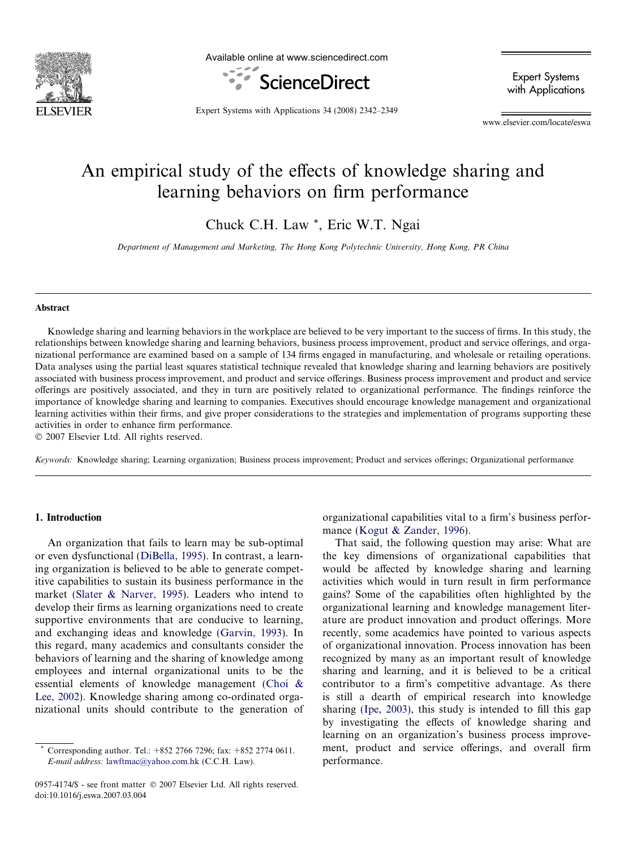

Available online at www.sciencedirect.com



Expert Systems with Applications

Expert Systems with Applications 34 (2008) 2342–2349

www.elsevier.com/locate/eswa

# An empirical study of the effects of knowledge sharing and learning behaviors on firm performance

Chuck C.H. Law \*, Eric W.T. Ngai

Department of Management and Marketing, The Hong Kong Polytechnic University, Hong Kong, PR China

#### Abstract

Knowledge sharing and learning behaviors in the workplace are believed to be very important to the success of firms. In this study, the relationships between knowledge sharing and learning behaviors, business process improvement, product and service offerings, and organizational performance are examined based on a sample of 134 firms engaged in manufacturing, and wholesale or retailing operations. Data analyses using the partial least squares statistical technique revealed that knowledge sharing and learning behaviors are positively associated with business process improvement, and product and service offerings. Business process improvement and product and service offerings are positively associated, and they in turn are positively related to organizational performance. The findings reinforce the importance of knowledge sharing and learning to companies. Executives should encourage knowledge management and organizational learning activities within their firms, and give proper considerations to the strategies and implementation of programs supporting these activities in order to enhance firm performance.

 $© 2007 Elsevier Ltd. All rights reserved.$ 

Keywords: Knowledge sharing; Learning organization; Business process improvement; Product and services offerings; Organizational performance

### 1. Introduction

An organization that fails to learn may be sub-optimal or even dysfunctional [\(DiBella, 1995](#page--1-0)). In contrast, a learning organization is believed to be able to generate competitive capabilities to sustain its business performance in the market [\(Slater & Narver, 1995\)](#page--1-0). Leaders who intend to develop their firms as learning organizations need to create supportive environments that are conducive to learning, and exchanging ideas and knowledge [\(Garvin, 1993\)](#page--1-0). In this regard, many academics and consultants consider the behaviors of learning and the sharing of knowledge among employees and internal organizational units to be the essential elements of knowledge management ([Choi &](#page--1-0) [Lee, 2002](#page--1-0)). Knowledge sharing among co-ordinated organizational units should contribute to the generation of

0957-4174/\$ - see front matter © 2007 Elsevier Ltd. All rights reserved. doi:10.1016/j.eswa.2007.03.004

organizational capabilities vital to a firm's business performance ([Kogut & Zander, 1996\)](#page--1-0).

That said, the following question may arise: What are the key dimensions of organizational capabilities that would be affected by knowledge sharing and learning activities which would in turn result in firm performance gains? Some of the capabilities often highlighted by the organizational learning and knowledge management literature are product innovation and product offerings. More recently, some academics have pointed to various aspects of organizational innovation. Process innovation has been recognized by many as an important result of knowledge sharing and learning, and it is believed to be a critical contributor to a firm's competitive advantage. As there is still a dearth of empirical research into knowledge sharing ([Ipe, 2003](#page--1-0)), this study is intended to fill this gap by investigating the effects of knowledge sharing and learning on an organization's business process improvement, product and service offerings, and overall firm performance.

Corresponding author. Tel.: +852 2766 7296; fax: +852 2774 0611. E-mail address: [lawftmac@yahoo.com.hk](mailto:lawftmac@yahoo.com.hk) (C.C.H. Law).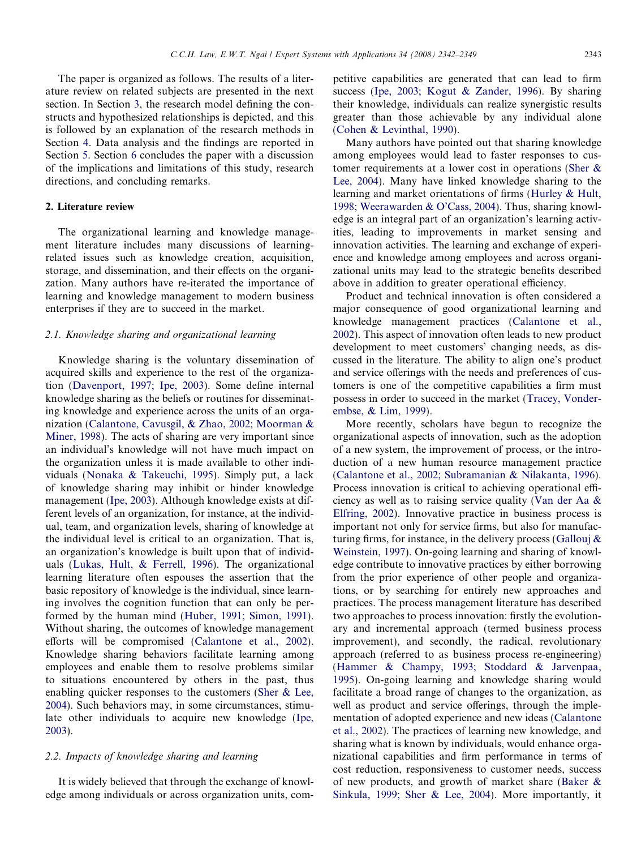The paper is organized as follows. The results of a literature review on related subjects are presented in the next section. In Section [3](#page--1-0), the research model defining the constructs and hypothesized relationships is depicted, and this is followed by an explanation of the research methods in Section [4.](#page--1-0) Data analysis and the findings are reported in Section [5](#page--1-0). Section [6](#page--1-0) concludes the paper with a discussion of the implications and limitations of this study, research directions, and concluding remarks.

#### 2. Literature review

The organizational learning and knowledge management literature includes many discussions of learningrelated issues such as knowledge creation, acquisition, storage, and dissemination, and their effects on the organization. Many authors have re-iterated the importance of learning and knowledge management to modern business enterprises if they are to succeed in the market.

#### 2.1. Knowledge sharing and organizational learning

Knowledge sharing is the voluntary dissemination of acquired skills and experience to the rest of the organization ([Davenport, 1997; Ipe, 2003\)](#page--1-0). Some define internal knowledge sharing as the beliefs or routines for disseminating knowledge and experience across the units of an organization [\(Calantone, Cavusgil, & Zhao, 2002; Moorman &](#page--1-0) [Miner, 1998\)](#page--1-0). The acts of sharing are very important since an individual's knowledge will not have much impact on the organization unless it is made available to other individuals ([Nonaka & Takeuchi, 1995\)](#page--1-0). Simply put, a lack of knowledge sharing may inhibit or hinder knowledge management ([Ipe, 2003\)](#page--1-0). Although knowledge exists at different levels of an organization, for instance, at the individual, team, and organization levels, sharing of knowledge at the individual level is critical to an organization. That is, an organization's knowledge is built upon that of individuals [\(Lukas, Hult, & Ferrell, 1996](#page--1-0)). The organizational learning literature often espouses the assertion that the basic repository of knowledge is the individual, since learning involves the cognition function that can only be performed by the human mind [\(Huber, 1991; Simon, 1991\)](#page--1-0). Without sharing, the outcomes of knowledge management efforts will be compromised [\(Calantone et al., 2002\)](#page--1-0). Knowledge sharing behaviors facilitate learning among employees and enable them to resolve problems similar to situations encountered by others in the past, thus enabling quicker responses to the customers [\(Sher & Lee,](#page--1-0) [2004](#page--1-0)). Such behaviors may, in some circumstances, stimulate other individuals to acquire new knowledge [\(Ipe,](#page--1-0) [2003](#page--1-0)).

### 2.2. Impacts of knowledge sharing and learning

It is widely believed that through the exchange of knowledge among individuals or across organization units, competitive capabilities are generated that can lead to firm success [\(Ipe, 2003; Kogut & Zander, 1996](#page--1-0)). By sharing their knowledge, individuals can realize synergistic results greater than those achievable by any individual alone ([Cohen & Levinthal, 1990](#page--1-0)).

Many authors have pointed out that sharing knowledge among employees would lead to faster responses to customer requirements at a lower cost in operations ([Sher &](#page--1-0) [Lee, 2004](#page--1-0)). Many have linked knowledge sharing to the learning and market orientations of firms [\(Hurley & Hult,](#page--1-0) [1998; Weerawarden & O'Cass, 2004\)](#page--1-0). Thus, sharing knowledge is an integral part of an organization's learning activities, leading to improvements in market sensing and innovation activities. The learning and exchange of experience and knowledge among employees and across organizational units may lead to the strategic benefits described above in addition to greater operational efficiency.

Product and technical innovation is often considered a major consequence of good organizational learning and knowledge management practices ([Calantone et al.,](#page--1-0) [2002](#page--1-0)). This aspect of innovation often leads to new product development to meet customers' changing needs, as discussed in the literature. The ability to align one's product and service offerings with the needs and preferences of customers is one of the competitive capabilities a firm must possess in order to succeed in the market ([Tracey, Vonder](#page--1-0)[embse, & Lim, 1999](#page--1-0)).

More recently, scholars have begun to recognize the organizational aspects of innovation, such as the adoption of a new system, the improvement of process, or the introduction of a new human resource management practice ([Calantone et al., 2002; Subramanian & Nilakanta, 1996](#page--1-0)). Process innovation is critical to achieving operational efficiency as well as to raising service quality [\(Van der Aa &](#page--1-0) [Elfring, 2002\)](#page--1-0). Innovative practice in business process is important not only for service firms, but also for manufacturing firms, for instance, in the delivery process (Gallouj  $\&$ [Weinstein, 1997](#page--1-0)). On-going learning and sharing of knowledge contribute to innovative practices by either borrowing from the prior experience of other people and organizations, or by searching for entirely new approaches and practices. The process management literature has described two approaches to process innovation: firstly the evolutionary and incremental approach (termed business process improvement), and secondly, the radical, revolutionary approach (referred to as business process re-engineering) ([Hammer & Champy, 1993; Stoddard & Jarvenpaa,](#page--1-0) [1995](#page--1-0)). On-going learning and knowledge sharing would facilitate a broad range of changes to the organization, as well as product and service offerings, through the implementation of adopted experience and new ideas [\(Calantone](#page--1-0) [et al., 2002\)](#page--1-0). The practices of learning new knowledge, and sharing what is known by individuals, would enhance organizational capabilities and firm performance in terms of cost reduction, responsiveness to customer needs, success of new products, and growth of market share ([Baker &](#page--1-0) [Sinkula, 1999; Sher & Lee, 2004\)](#page--1-0). More importantly, it